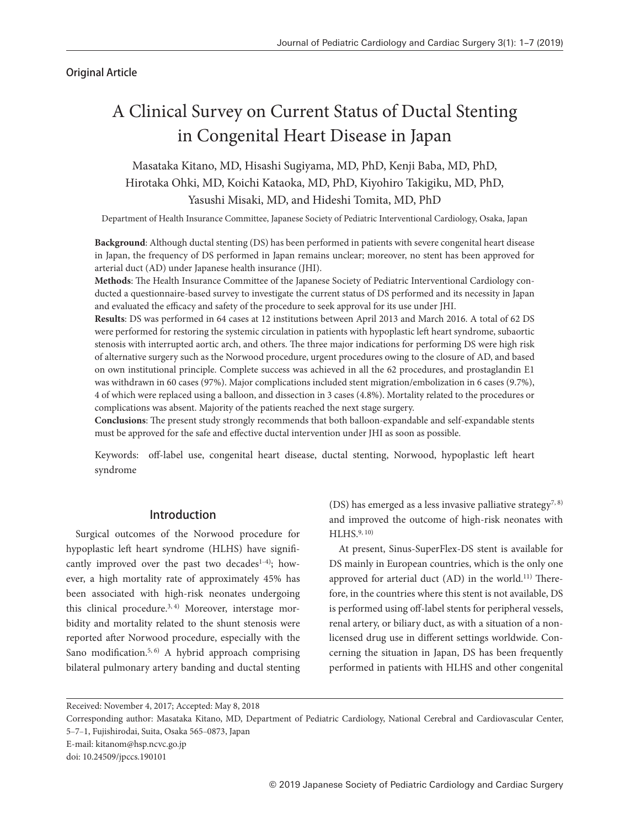# Original Article

# A Clinical Survey on Current Status of Ductal Stenting in Congenital Heart Disease in Japan

# Masataka Kitano, MD, Hisashi Sugiyama, MD, PhD, Kenji Baba, MD, PhD, Hirotaka Ohki, MD, Koichi Kataoka, MD, PhD, Kiyohiro Takigiku, MD, PhD, Yasushi Misaki, MD, and Hideshi Tomita, MD, PhD

Department of Health Insurance Committee, Japanese Society of Pediatric Interventional Cardiology, Osaka, Japan

**Background**: Although ductal stenting (DS) has been performed in patients with severe congenital heart disease in Japan, the frequency of DS performed in Japan remains unclear; moreover, no stent has been approved for arterial duct (AD) under Japanese health insurance (JHI).

**Methods**: The Health Insurance Committee of the Japanese Society of Pediatric Interventional Cardiology conducted a questionnaire-based survey to investigate the current status of DS performed and its necessity in Japan and evaluated the efficacy and safety of the procedure to seek approval for its use under JHI.

**Results**: DS was performed in 64 cases at 12 institutions between April 2013 and March 2016. A total of 62 DS were performed for restoring the systemic circulation in patients with hypoplastic left heart syndrome, subaortic stenosis with interrupted aortic arch, and others. The three major indications for performing DS were high risk of alternative surgery such as the Norwood procedure, urgent procedures owing to the closure of AD, and based on own institutional principle. Complete success was achieved in all the 62 procedures, and prostaglandin E1 was withdrawn in 60 cases (97%). Major complications included stent migration/embolization in 6 cases (9.7%), 4 of which were replaced using a balloon, and dissection in 3 cases (4.8%). Mortality related to the procedures or complications was absent. Majority of the patients reached the next stage surgery.

**Conclusions**: The present study strongly recommends that both balloon-expandable and self-expandable stents must be approved for the safe and effective ductal intervention under JHI as soon as possible.

Keywords: off-label use, congenital heart disease, ductal stenting, Norwood, hypoplastic left heart syndrome

# Introduction

Surgical outcomes of the Norwood procedure for hypoplastic left heart syndrome (HLHS) have significantly improved over the past two decades $1-4$ ); however, a high mortality rate of approximately 45% has been associated with high-risk neonates undergoing this clinical procedure.<sup>3, 4)</sup> Moreover, interstage morbidity and mortality related to the shunt stenosis were reported after Norwood procedure, especially with the Sano modification.<sup>5, 6)</sup> A hybrid approach comprising bilateral pulmonary artery banding and ductal stenting (DS) has emerged as a less invasive palliative strategy<sup>7, 8)</sup> and improved the outcome of high-risk neonates with HLHS.9, 10)

At present, Sinus-SuperFlex-DS stent is available for DS mainly in European countries, which is the only one approved for arterial duct (AD) in the world.<sup>11)</sup> Therefore, in the countries where this stent is not available, DS is performed using off-label stents for peripheral vessels, renal artery, or biliary duct, as with a situation of a nonlicensed drug use in different settings worldwide. Concerning the situation in Japan, DS has been frequently performed in patients with HLHS and other congenital

E-mail: kitanom@hsp.ncvc.go.jp

Received: November 4, 2017; Accepted: May 8, 2018

Corresponding author: Masataka Kitano, MD, Department of Pediatric Cardiology, National Cerebral and Cardiovascular Center, 5-7-1, Fujishirodai, Suita, Osaka 565-0873, Japan

doi: 10.24509/jpccs.190101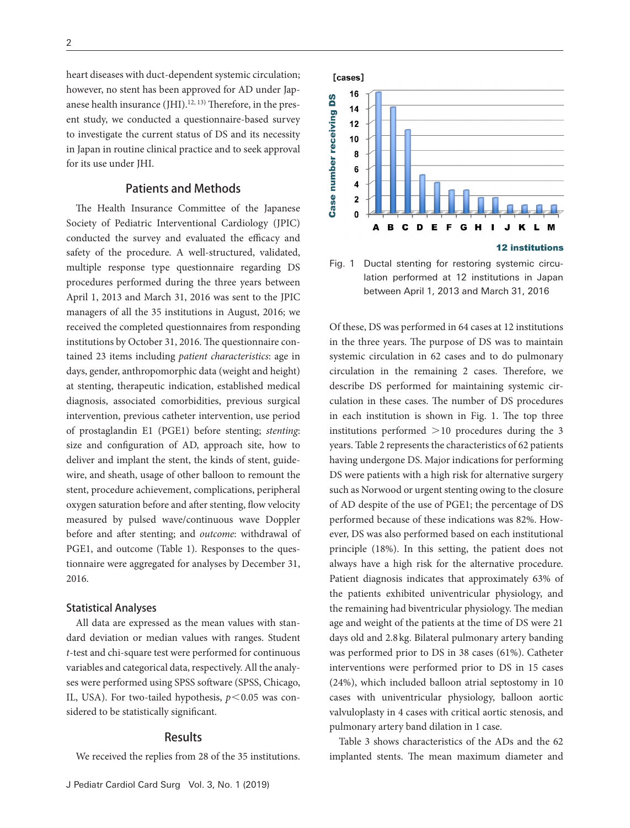heart diseases with duct-dependent systemic circulation; however, no stent has been approved for AD under Japanese health insurance  $(HII).<sup>12, 13)</sup>$  Therefore, in the present study, we conducted a questionnaire-based survey to investigate the current status of DS and its necessity in Japan in routine clinical practice and to seek approval for its use under JHI.

# Patients and Methods

The Health Insurance Committee of the Japanese Society of Pediatric Interventional Cardiology (JPIC) conducted the survey and evaluated the efficacy and safety of the procedure. A well-structured, validated, multiple response type questionnaire regarding DS procedures performed during the three years between April 1, 2013 and March 31, 2016 was sent to the JPIC managers of all the 35 institutions in August, 2016; we received the completed questionnaires from responding institutions by October 31, 2016. The questionnaire contained 23 items including *patient characteristics*: age in days, gender, anthropomorphic data (weight and height) at stenting, therapeutic indication, established medical diagnosis, associated comorbidities, previous surgical intervention, previous catheter intervention, use period of prostaglandin E1 (PGE1) before stenting; *stenting*: size and configuration of AD, approach site, how to deliver and implant the stent, the kinds of stent, guidewire, and sheath, usage of other balloon to remount the stent, procedure achievement, complications, peripheral oxygen saturation before and after stenting, flow velocity measured by pulsed wave/continuous wave Doppler before and after stenting; and *outcome*: withdrawal of PGE1, and outcome (Table 1). Responses to the questionnaire were aggregated for analyses by December 31, 2016.

## Statistical Analyses

All data are expressed as the mean values with standard deviation or median values with ranges. Student *t*-test and chi-square test were performed for continuous variables and categorical data, respectively. All the analyses were performed using SPSS software (SPSS, Chicago, IL, USA). For two-tailed hypothesis,  $p < 0.05$  was considered to be statistically significant.

## Results

We received the replies from 28 of the 35 institutions.





Fig. 1 Ductal stenting for restoring systemic circulation performed at 12 institutions in Japan between April 1, 2013 and March 31, 2016

Of these, DS was performed in 64 cases at 12 institutions in the three years. The purpose of DS was to maintain systemic circulation in 62 cases and to do pulmonary circulation in the remaining 2 cases. Therefore, we describe DS performed for maintaining systemic circulation in these cases. The number of DS procedures in each institution is shown in Fig. 1. The top three institutions performed  $>10$  procedures during the 3 years. Table 2 represents the characteristics of 62 patients having undergone DS. Major indications for performing DS were patients with a high risk for alternative surgery such as Norwood or urgent stenting owing to the closure of AD despite of the use of PGE1; the percentage of DS performed because of these indications was 82%. However, DS was also performed based on each institutional principle (18%). In this setting, the patient does not always have a high risk for the alternative procedure. Patient diagnosis indicates that approximately 63% of the patients exhibited univentricular physiology, and the remaining had biventricular physiology. The median age and weight of the patients at the time of DS were 21 days old and 2.8 kg. Bilateral pulmonary artery banding was performed prior to DS in 38 cases (61%). Catheter interventions were performed prior to DS in 15 cases (24%), which included balloon atrial septostomy in 10 cases with univentricular physiology, balloon aortic valvuloplasty in 4 cases with critical aortic stenosis, and pulmonary artery band dilation in 1 case.

Table 3 shows characteristics of the ADs and the 62 implanted stents. The mean maximum diameter and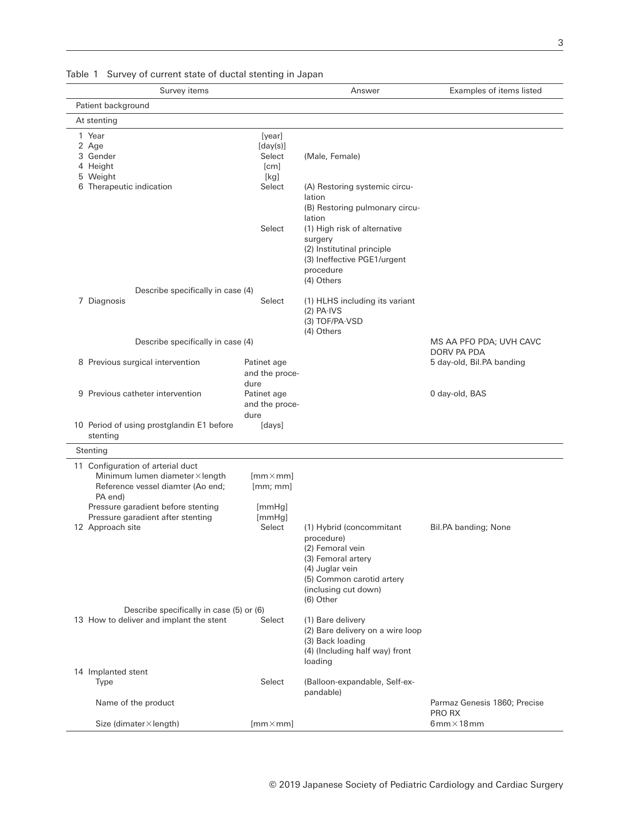| Table T Survey of current state of ductal stenting in Japan                                                                                                                                   |                                                        |                                                                                                                                                                       |                                          |
|-----------------------------------------------------------------------------------------------------------------------------------------------------------------------------------------------|--------------------------------------------------------|-----------------------------------------------------------------------------------------------------------------------------------------------------------------------|------------------------------------------|
| Survey items                                                                                                                                                                                  |                                                        | Answer                                                                                                                                                                | Examples of items listed                 |
| Patient background                                                                                                                                                                            |                                                        |                                                                                                                                                                       |                                          |
| At stenting                                                                                                                                                                                   |                                                        |                                                                                                                                                                       |                                          |
| 1 Year<br>2 Age<br>3 Gender<br>4 Height<br>5 Weight<br>6 Therapeutic indication                                                                                                               | [year]<br>[day(s)]<br>Select<br>[cm]<br>[kg]<br>Select | (Male, Female)<br>(A) Restoring systemic circu-<br>lation<br>(B) Restoring pulmonary circu-                                                                           |                                          |
|                                                                                                                                                                                               | Select                                                 | lation<br>(1) High risk of alternative<br>surgery<br>(2) Institutinal principle<br>(3) Ineffective PGE1/urgent<br>procedure<br>(4) Others                             |                                          |
| Describe specifically in case (4)                                                                                                                                                             |                                                        |                                                                                                                                                                       |                                          |
| 7 Diagnosis                                                                                                                                                                                   | Select                                                 | (1) HLHS including its variant<br>$(2)$ PA $\cdot$ IVS<br>(3) TOF/PA-VSD<br>(4) Others                                                                                |                                          |
| Describe specifically in case (4)                                                                                                                                                             |                                                        |                                                                                                                                                                       | MS AA PFO PDA; UVH CAVC                  |
| 8 Previous surgical intervention                                                                                                                                                              | Patinet age<br>and the proce-                          |                                                                                                                                                                       | DORV PA PDA<br>5 day-old, Bil.PA banding |
| 9 Previous catheter intervention                                                                                                                                                              | dure<br>Patinet age<br>and the proce-<br>dure          |                                                                                                                                                                       | 0 day-old, BAS                           |
| 10 Period of using prostglandin E1 before<br>stenting                                                                                                                                         | [days]                                                 |                                                                                                                                                                       |                                          |
| Stenting                                                                                                                                                                                      |                                                        |                                                                                                                                                                       |                                          |
| 11 Configuration of arterial duct<br>Minimum lumen diameter×length<br>Reference vessel diamter (Ao end;<br>PA end)<br>Pressure garadient before stenting<br>Pressure garadient after stenting | $[mm \times mm]$<br>[mm;mm]<br>[mmHg]<br>[mmHg]        |                                                                                                                                                                       |                                          |
| 12 Approach site                                                                                                                                                                              | Select                                                 | (1) Hybrid (concommitant<br>procedure)<br>(2) Femoral vein<br>(3) Femoral artery<br>(4) Juglar vein<br>(5) Common carotid artery<br>(inclusing cut down)<br>(6) Other | Bil.PA banding; None                     |
| Describe specifically in case (5) or (6)                                                                                                                                                      |                                                        |                                                                                                                                                                       |                                          |
| 13 How to deliver and implant the stent                                                                                                                                                       | Select                                                 | (1) Bare delivery<br>(2) Bare delivery on a wire loop<br>(3) Back loading<br>(4) (Including half way) front<br>loading                                                |                                          |
| 14 Implanted stent<br>Type                                                                                                                                                                    | Select                                                 | (Balloon-expandable, Self-ex-                                                                                                                                         |                                          |
|                                                                                                                                                                                               |                                                        | pandable)                                                                                                                                                             |                                          |
| Name of the product                                                                                                                                                                           |                                                        |                                                                                                                                                                       | Parmaz Genesis 1860; Precise<br>PRO RX   |
| Size (dimater × length)                                                                                                                                                                       | $[mm \times mm]$                                       |                                                                                                                                                                       | $6$ mm $\times$ 18 mm                    |

Table 1 Survey of current state of ductal stenting in La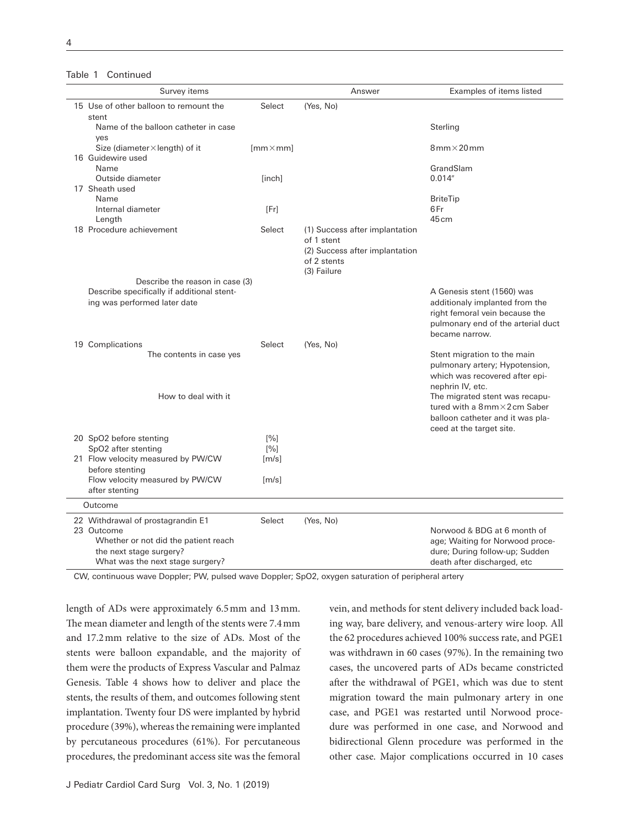#### Table 1 Continued

| 15 Use of other balloon to remount the<br>Select<br>(Yes, No)<br>stent<br>Name of the balloon catheter in case<br>Sterling<br>ves<br>$8mm \times 20mm$<br>Size (diameter $\times$ length) of it<br>$[mm \times mm]$ |  |
|---------------------------------------------------------------------------------------------------------------------------------------------------------------------------------------------------------------------|--|
|                                                                                                                                                                                                                     |  |
|                                                                                                                                                                                                                     |  |
|                                                                                                                                                                                                                     |  |
|                                                                                                                                                                                                                     |  |
| 16 Guidewire used                                                                                                                                                                                                   |  |
| GrandSlam<br>Name                                                                                                                                                                                                   |  |
| Outside diameter<br>0.014''<br>[inch]                                                                                                                                                                               |  |
| 17 Sheath used                                                                                                                                                                                                      |  |
| Name<br><b>BriteTip</b>                                                                                                                                                                                             |  |
| 6Fr<br>Internal diameter<br>[Fr]                                                                                                                                                                                    |  |
| Length<br>45 cm<br>18 Procedure achievement<br>Select<br>(1) Success after implantation                                                                                                                             |  |
| of 1 stent                                                                                                                                                                                                          |  |
| (2) Success after implantation                                                                                                                                                                                      |  |
| of 2 stents                                                                                                                                                                                                         |  |
| (3) Failure                                                                                                                                                                                                         |  |
| Describe the reason in case (3)                                                                                                                                                                                     |  |
| Describe specifically if additional stent-<br>A Genesis stent (1560) was                                                                                                                                            |  |
| ing was performed later date<br>additionaly implanted from the                                                                                                                                                      |  |
| right femoral vein because the<br>pulmonary end of the arterial duct                                                                                                                                                |  |
| became narrow.                                                                                                                                                                                                      |  |
| 19 Complications<br>(Yes, No)<br>Select                                                                                                                                                                             |  |
| The contents in case yes<br>Stent migration to the main                                                                                                                                                             |  |
| pulmonary artery; Hypotension,                                                                                                                                                                                      |  |
| which was recovered after epi-                                                                                                                                                                                      |  |
| nephrin IV, etc.                                                                                                                                                                                                    |  |
| How to deal with it<br>The migrated stent was recapu-                                                                                                                                                               |  |
| tured with a 8mm×2cm Saber<br>balloon catheter and it was pla-                                                                                                                                                      |  |
| ceed at the target site.                                                                                                                                                                                            |  |
| 20 SpO2 before stenting<br>[%]                                                                                                                                                                                      |  |
| SpO2 after stenting<br>[%]                                                                                                                                                                                          |  |
| 21 Flow velocity measured by PW/CW<br>[m/s]                                                                                                                                                                         |  |
| before stenting                                                                                                                                                                                                     |  |
| Flow velocity measured by PW/CW<br>[m/s]                                                                                                                                                                            |  |
| after stenting                                                                                                                                                                                                      |  |
| Outcome                                                                                                                                                                                                             |  |
| 22 Withdrawal of prostagrandin E1<br>Select<br>(Yes, No)                                                                                                                                                            |  |
| Norwood & BDG at 6 month of<br>23 Outcome                                                                                                                                                                           |  |
| Whether or not did the patient reach<br>age; Waiting for Norwood proce-                                                                                                                                             |  |
| the next stage surgery?<br>dure; During follow-up; Sudden<br>What was the next stage surgery?<br>death after discharged, etc                                                                                        |  |

CW, continuous wave Doppler; PW, pulsed wave Doppler; SpO2, oxygen saturation of peripheral artery

length of ADs were approximately 6.5 mm and 13 mm. The mean diameter and length of the stents were 7.4 mm and 17.2 mm relative to the size of ADs. Most of the stents were balloon expandable, and the majority of them were the products of Express Vascular and Palmaz Genesis. Table 4 shows how to deliver and place the stents, the results of them, and outcomes following stent implantation. Twenty four DS were implanted by hybrid procedure (39%), whereas the remaining were implanted by percutaneous procedures (61%). For percutaneous procedures, the predominant access site was the femoral vein, and methods for stent delivery included back loading way, bare delivery, and venous-artery wire loop. All the 62 procedures achieved 100% success rate, and PGE1 was withdrawn in 60 cases (97%). In the remaining two cases, the uncovered parts of ADs became constricted after the withdrawal of PGE1, which was due to stent migration toward the main pulmonary artery in one case, and PGE1 was restarted until Norwood procedure was performed in one case, and Norwood and bidirectional Glenn procedure was performed in the other case. Major complications occurred in 10 cases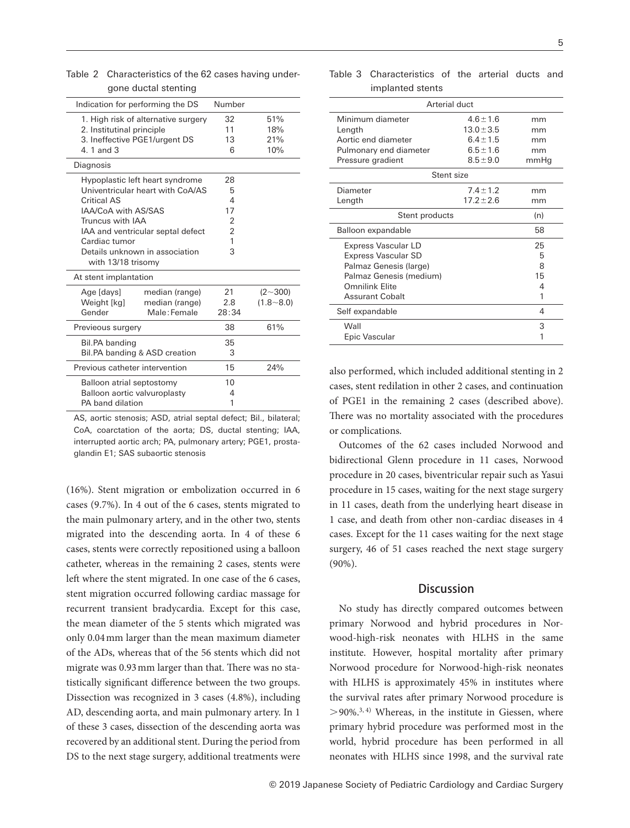| gone quotal stenting                |                     |        |                |  |
|-------------------------------------|---------------------|--------|----------------|--|
| Indication for performing the DS    |                     | Number |                |  |
| 1. High risk of alternative surgery |                     | 32     | 51%            |  |
| 2. Institutinal principle           |                     | 11     | 18%            |  |
| 3. Ineffective PGE1/urgent DS       |                     | 13     | 21%            |  |
| 4.1 and 3                           |                     | 6      | 10%            |  |
| Diagnosis                           |                     |        |                |  |
| Hypoplastic left heart syndrome     |                     | 28     |                |  |
| Univentricular heart with CoA/AS    |                     | 5      |                |  |
| <b>Critical AS</b>                  |                     | 4      |                |  |
|                                     | IAA/CoA with AS/SAS |        |                |  |
| Truncus with IAA                    |                     | 2      |                |  |
| IAA and ventricular septal defect   |                     | 2      |                |  |
| Cardiac tumor                       |                     | 1      |                |  |
| Details unknown in association      |                     | 3      |                |  |
| with 13/18 trisomy                  |                     |        |                |  |
| At stent implantation               |                     |        |                |  |
| Age [days]                          | median (range)      | 21     | $(2{\sim}300)$ |  |
| Weight [kg]                         | median (range)      | 2.8    | $(1.8 - 8.0)$  |  |
| Gender                              | Male: Female        | 28:34  |                |  |
| Previeous surgery                   |                     | 38     | 61%            |  |
| Bil.PA banding                      |                     | 35     |                |  |
| Bil.PA banding & ASD creation       |                     | 3      |                |  |
| Previous catheter intervention      |                     | 15     | 24%            |  |
| Balloon atrial septostomy           |                     | 10     |                |  |
| Balloon aortic valvuroplasty        |                     | 4      |                |  |
| PA band dilation                    |                     | 1      |                |  |
|                                     |                     |        |                |  |

Table 2 Characteristics of the 62 cases having undergone ductal stenting

AS, aortic stenosis; ASD, atrial septal defect; Bil., bilateral; CoA, coarctation of the aorta; DS, ductal stenting; IAA, interrupted aortic arch; PA, pulmonary artery; PGE1, prostaglandin E1; SAS subaortic stenosis

(16%). Stent migration or embolization occurred in 6 cases (9.7%). In 4 out of the 6 cases, stents migrated to the main pulmonary artery, and in the other two, stents migrated into the descending aorta. In 4 of these 6 cases, stents were correctly repositioned using a balloon catheter, whereas in the remaining 2 cases, stents were left where the stent migrated. In one case of the 6 cases, stent migration occurred following cardiac massage for recurrent transient bradycardia. Except for this case, the mean diameter of the 5 stents which migrated was only 0.04 mm larger than the mean maximum diameter of the ADs, whereas that of the 56 stents which did not migrate was 0.93 mm larger than that. There was no statistically significant difference between the two groups. Dissection was recognized in 3 cases (4.8%), including AD, descending aorta, and main pulmonary artery. In 1 of these 3 cases, dissection of the descending aorta was recovered by an additional stent. During the period from DS to the next stage surgery, additional treatments were

| Arterial duct           |                |      |  |  |  |
|-------------------------|----------------|------|--|--|--|
| Minimum diameter        | $4.6 \pm 1.6$  | mm   |  |  |  |
| Length                  | $13.0 + 3.5$   | mm   |  |  |  |
| Aortic end diameter     | $6.4 \pm 1.5$  | mm   |  |  |  |
| Pulmonary end diameter  | $6.5 \pm 1.6$  | mm   |  |  |  |
| Pressure gradient       | $8.5 \pm 9.0$  | mmHg |  |  |  |
| Stent size              |                |      |  |  |  |
| Diameter                | $7.4 \pm 1.2$  | mm   |  |  |  |
| Length                  | $17.2 \pm 2.6$ | mm   |  |  |  |
| Stent products          |                | (n)  |  |  |  |
| Balloon expandable      |                | 58   |  |  |  |
| Express Vascular LD     |                | 25   |  |  |  |
| Express Vascular SD     |                | 5    |  |  |  |
| Palmaz Genesis (large)  |                | 8    |  |  |  |
| Palmaz Genesis (medium) |                | 15   |  |  |  |
| Omnilink Flite          |                | 4    |  |  |  |
| <b>Assurant Cobalt</b>  |                | 1    |  |  |  |
| Self expandable         |                | 4    |  |  |  |
| Wall                    |                | 3    |  |  |  |
| Epic Vascular           |                | 1    |  |  |  |

Table 3 Characteristics of the arterial ducts and implanted stents

also performed, which included additional stenting in 2 cases, stent redilation in other 2 cases, and continuation of PGE1 in the remaining 2 cases (described above). There was no mortality associated with the procedures or complications.

Outcomes of the 62 cases included Norwood and bidirectional Glenn procedure in 11 cases, Norwood procedure in 20 cases, biventricular repair such as Yasui procedure in 15 cases, waiting for the next stage surgery in 11 cases, death from the underlying heart disease in 1 case, and death from other non-cardiac diseases in 4 cases. Except for the 11 cases waiting for the next stage surgery, 46 of 51 cases reached the next stage surgery (90%).

# **Discussion**

No study has directly compared outcomes between primary Norwood and hybrid procedures in Norwood-high-risk neonates with HLHS in the same institute. However, hospital mortality after primary Norwood procedure for Norwood-high-risk neonates with HLHS is approximately 45% in institutes where the survival rates after primary Norwood procedure is  $>$ 90%.<sup>3, 4)</sup> Whereas, in the institute in Giessen, where primary hybrid procedure was performed most in the world, hybrid procedure has been performed in all neonates with HLHS since 1998, and the survival rate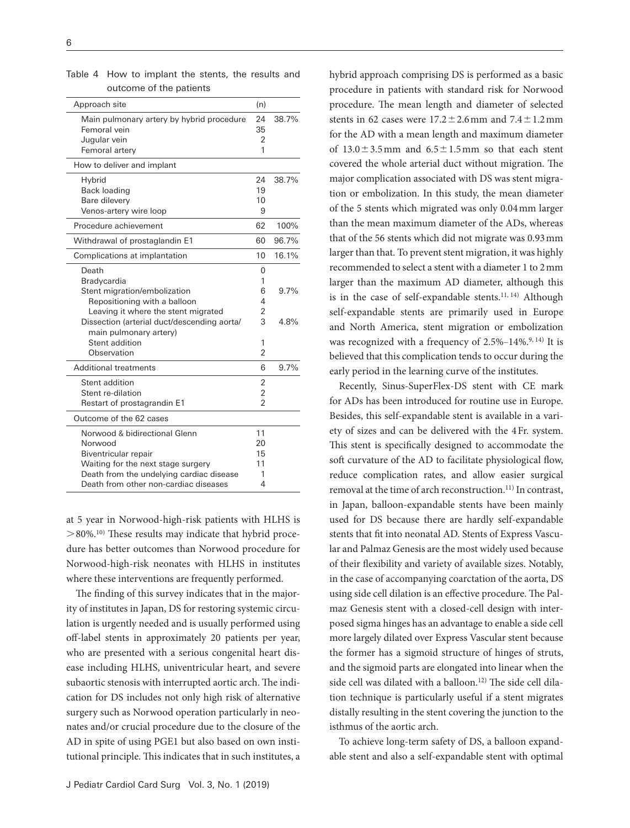| Approach site                               | (n)            |       |
|---------------------------------------------|----------------|-------|
| Main pulmonary artery by hybrid procedure   | 24             | 38.7% |
| Femoral vein                                | 35             |       |
| Jugular vein                                | 2              |       |
| Femoral artery                              | 1              |       |
| How to deliver and implant                  |                |       |
| Hybrid                                      | 24             | 38.7% |
| <b>Back loading</b>                         | 19             |       |
| Bare dilevery                               | 10             |       |
| Venos-artery wire loop                      | 9              |       |
| Procedure achievement                       | 62             | 100%  |
| Withdrawal of prostaglandin E1              | 60             | 96.7% |
| Complications at implantation               | 10             | 16.1% |
| Death                                       | 0              |       |
| Bradycardia                                 | 1              |       |
| Stent migration/embolization                | 6              | 9.7%  |
| Repositioning with a balloon                | 4              |       |
| Leaving it where the stent migrated         | 2              |       |
| Dissection (arterial duct/descending aorta/ | 3              | 4.8%  |
| main pulmonary artery)                      |                |       |
| Stent addition                              | 1              |       |
| Observation                                 | 2              |       |
| <b>Additional treatments</b>                | 6              | 9.7%  |
| Stent addition                              | 2              |       |
| Stent re-dilation                           | $\overline{2}$ |       |
| Restart of prostagrandin E1                 | $\mathfrak{p}$ |       |
| Outcome of the 62 cases                     |                |       |
| Norwood & bidirectional Glenn               | 11             |       |
| Norwood                                     | 20             |       |
| Biventricular repair                        | 15             |       |
| Waiting for the next stage surgery          | 11             |       |
| Death from the undelying cardiac disease    | 1              |       |
| Death from other non-cardiac diseases       | 4              |       |
|                                             |                |       |

Table 4 How to implant the stents, the results and outcome of the patients

at 5 year in Norwood-high-risk patients with HLHS is  $>80\%$ .<sup>10)</sup> These results may indicate that hybrid procedure has better outcomes than Norwood procedure for Norwood-high-risk neonates with HLHS in institutes where these interventions are frequently performed.

The finding of this survey indicates that in the majority of institutes in Japan, DS for restoring systemic circulation is urgently needed and is usually performed using off-label stents in approximately 20 patients per year, who are presented with a serious congenital heart disease including HLHS, univentricular heart, and severe subaortic stenosis with interrupted aortic arch. The indication for DS includes not only high risk of alternative surgery such as Norwood operation particularly in neonates and/or crucial procedure due to the closure of the AD in spite of using PGE1 but also based on own institutional principle. This indicates that in such institutes, a hybrid approach comprising DS is performed as a basic procedure in patients with standard risk for Norwood procedure. The mean length and diameter of selected stents in 62 cases were  $17.2 \pm 2.6$  mm and  $7.4 \pm 1.2$  mm for the AD with a mean length and maximum diameter of  $13.0 \pm 3.5$  mm and  $6.5 \pm 1.5$  mm so that each stent covered the whole arterial duct without migration. The major complication associated with DS was stent migration or embolization. In this study, the mean diameter of the 5 stents which migrated was only 0.04 mm larger than the mean maximum diameter of the ADs, whereas that of the 56 stents which did not migrate was 0.93 mm larger than that. To prevent stent migration, it was highly recommended to select a stent with a diameter 1 to 2 mm larger than the maximum AD diameter, although this is in the case of self-expandable stents.<sup>11, 14)</sup> Although self-expandable stents are primarily used in Europe and North America, stent migration or embolization was recognized with a frequency of  $2.5\%$ -14%.<sup>9, 14)</sup> It is believed that this complication tends to occur during the early period in the learning curve of the institutes.

Recently, Sinus-SuperFlex-DS stent with CE mark for ADs has been introduced for routine use in Europe. Besides, this self-expandable stent is available in a variety of sizes and can be delivered with the 4 Fr. system. This stent is specifically designed to accommodate the soft curvature of the AD to facilitate physiological flow, reduce complication rates, and allow easier surgical removal at the time of arch reconstruction.<sup>11)</sup> In contrast, in Japan, balloon-expandable stents have been mainly used for DS because there are hardly self-expandable stents that fit into neonatal AD. Stents of Express Vascular and Palmaz Genesis are the most widely used because of their flexibility and variety of available sizes. Notably, in the case of accompanying coarctation of the aorta, DS using side cell dilation is an effective procedure. The Palmaz Genesis stent with a closed-cell design with interposed sigma hinges has an advantage to enable a side cell more largely dilated over Express Vascular stent because the former has a sigmoid structure of hinges of struts, and the sigmoid parts are elongated into linear when the side cell was dilated with a balloon.<sup>12)</sup> The side cell dilation technique is particularly useful if a stent migrates distally resulting in the stent covering the junction to the isthmus of the aortic arch.

To achieve long-term safety of DS, a balloon expandable stent and also a self-expandable stent with optimal